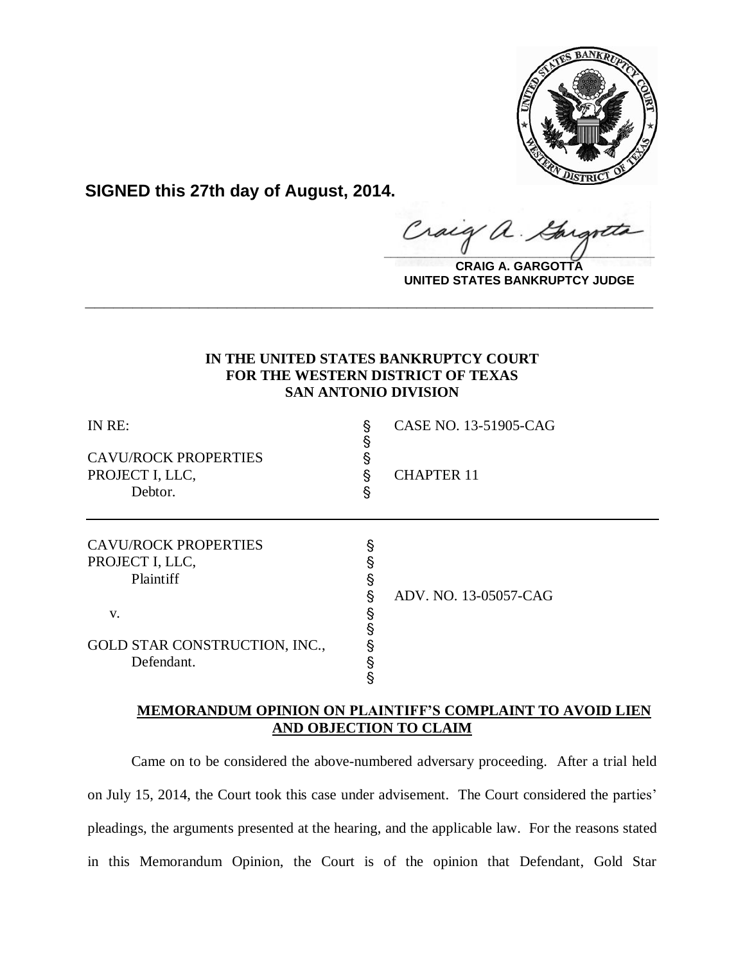

**SIGNED this 27th day of August, 2014.**

Craig  $\alpha$  .  $\frac{1}{2}$ 

**CRAIG A. GARGOTTA UNITED STATES BANKRUPTCY JUDGE**

# **IN THE UNITED STATES BANKRUPTCY COURT FOR THE WESTERN DISTRICT OF TEXAS SAN ANTONIO DIVISION**

**\_\_\_\_\_\_\_\_\_\_\_\_\_\_\_\_\_\_\_\_\_\_\_\_\_\_\_\_\_\_\_\_\_\_\_\_\_\_\_\_\_\_\_\_\_\_\_\_\_\_\_\_\_\_\_\_\_\_\_\_**

| IN RE:<br><b>CAVU/ROCK PROPERTIES</b><br>PROJECT I, LLC,<br>Debtor. | §<br>§<br>§<br>§<br>§ | CASE NO. 13-51905-CAG<br><b>CHAPTER 11</b> |
|---------------------------------------------------------------------|-----------------------|--------------------------------------------|
| <b>CAVU/ROCK PROPERTIES</b><br>PROJECT I, LLC,<br>Plaintiff         | §<br>§                | ADV. NO. 13-05057-CAG                      |
| V.<br>GOLD STAR CONSTRUCTION, INC.,<br>Defendant.                   | ş<br>§<br>§           |                                            |

# **MEMORANDUM OPINION ON PLAINTIFF'S COMPLAINT TO AVOID LIEN AND OBJECTION TO CLAIM**

Came on to be considered the above-numbered adversary proceeding. After a trial held on July 15, 2014, the Court took this case under advisement. The Court considered the parties' pleadings, the arguments presented at the hearing, and the applicable law. For the reasons stated in this Memorandum Opinion, the Court is of the opinion that Defendant, Gold Star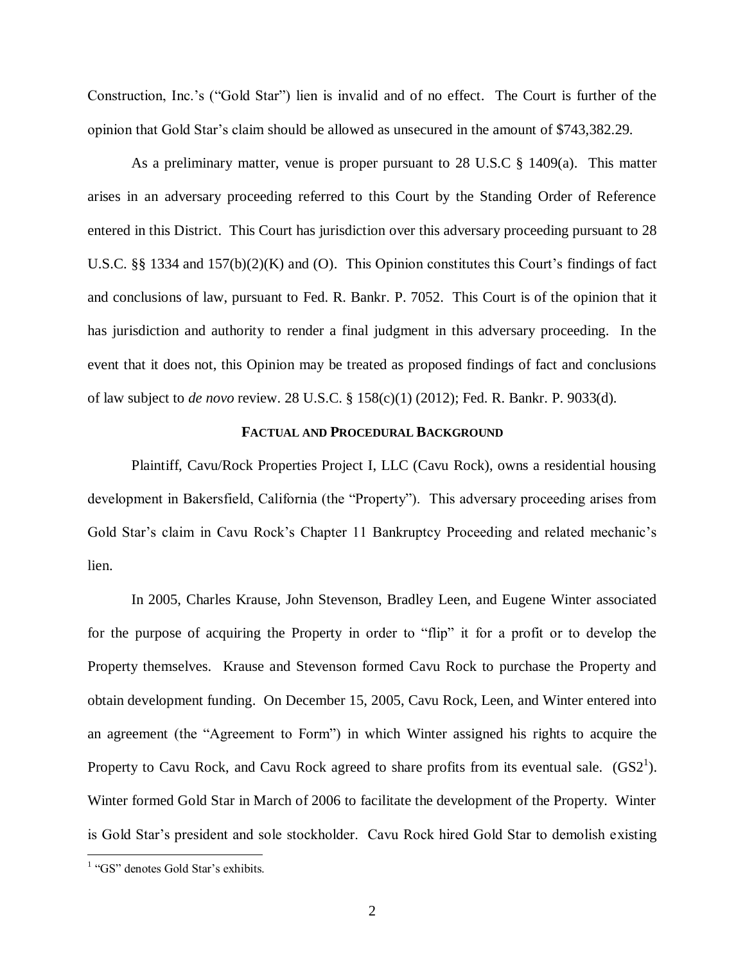Construction, Inc.'s ("Gold Star") lien is invalid and of no effect. The Court is further of the opinion that Gold Star's claim should be allowed as unsecured in the amount of \$743,382.29.

As a preliminary matter, venue is proper pursuant to 28 U.S.C § 1409(a). This matter arises in an adversary proceeding referred to this Court by the Standing Order of Reference entered in this District. This Court has jurisdiction over this adversary proceeding pursuant to 28 U.S.C. §§ 1334 and 157(b)(2)(K) and (O). This Opinion constitutes this Court's findings of fact and conclusions of law, pursuant to Fed. R. Bankr. P. 7052. This Court is of the opinion that it has jurisdiction and authority to render a final judgment in this adversary proceeding. In the event that it does not, this Opinion may be treated as proposed findings of fact and conclusions of law subject to *de novo* review. 28 U.S.C. § 158(c)(1) (2012); Fed. R. Bankr. P. 9033(d).

## **FACTUAL AND PROCEDURAL BACKGROUND**

Plaintiff, Cavu/Rock Properties Project I, LLC (Cavu Rock), owns a residential housing development in Bakersfield, California (the "Property"). This adversary proceeding arises from Gold Star's claim in Cavu Rock's Chapter 11 Bankruptcy Proceeding and related mechanic's lien.

In 2005, Charles Krause, John Stevenson, Bradley Leen, and Eugene Winter associated for the purpose of acquiring the Property in order to "flip" it for a profit or to develop the Property themselves. Krause and Stevenson formed Cavu Rock to purchase the Property and obtain development funding. On December 15, 2005, Cavu Rock, Leen, and Winter entered into an agreement (the "Agreement to Form") in which Winter assigned his rights to acquire the Property to Cavu Rock, and Cavu Rock agreed to share profits from its eventual sale.  $(GS2<sup>1</sup>)$ . Winter formed Gold Star in March of 2006 to facilitate the development of the Property. Winter is Gold Star's president and sole stockholder. Cavu Rock hired Gold Star to demolish existing

 1 "GS" denotes Gold Star's exhibits.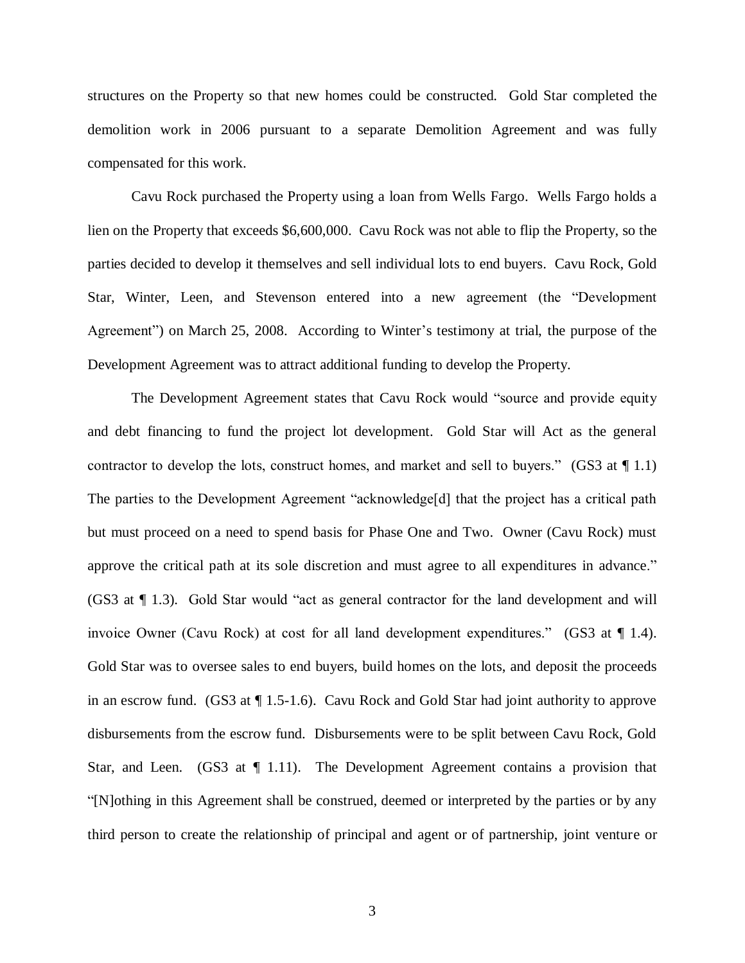structures on the Property so that new homes could be constructed. Gold Star completed the demolition work in 2006 pursuant to a separate Demolition Agreement and was fully compensated for this work.

Cavu Rock purchased the Property using a loan from Wells Fargo. Wells Fargo holds a lien on the Property that exceeds \$6,600,000. Cavu Rock was not able to flip the Property, so the parties decided to develop it themselves and sell individual lots to end buyers. Cavu Rock, Gold Star, Winter, Leen, and Stevenson entered into a new agreement (the "Development Agreement") on March 25, 2008. According to Winter's testimony at trial, the purpose of the Development Agreement was to attract additional funding to develop the Property.

The Development Agreement states that Cavu Rock would "source and provide equity and debt financing to fund the project lot development. Gold Star will Act as the general contractor to develop the lots, construct homes, and market and sell to buyers." (GS3 at  $\P$  1.1) The parties to the Development Agreement "acknowledge[d] that the project has a critical path but must proceed on a need to spend basis for Phase One and Two. Owner (Cavu Rock) must approve the critical path at its sole discretion and must agree to all expenditures in advance." (GS3 at ¶ 1.3).Gold Star would "act as general contractor for the land development and will invoice Owner (Cavu Rock) at cost for all land development expenditures." (GS3 at ¶ 1.4). Gold Star was to oversee sales to end buyers, build homes on the lots, and deposit the proceeds in an escrow fund. (GS3 at  $\P$  1.5-1.6). Cavu Rock and Gold Star had joint authority to approve disbursements from the escrow fund. Disbursements were to be split between Cavu Rock, Gold Star, and Leen. (GS3 at  $\P$  1.11). The Development Agreement contains a provision that "[N]othing in this Agreement shall be construed, deemed or interpreted by the parties or by any third person to create the relationship of principal and agent or of partnership, joint venture or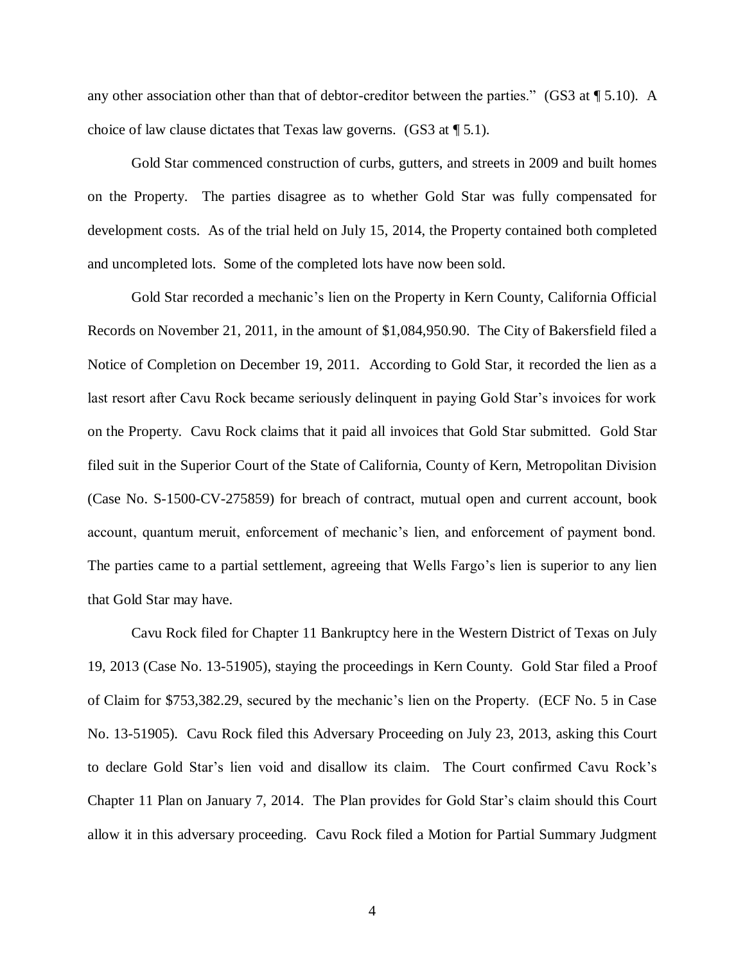any other association other than that of debtor-creditor between the parties." (GS3 at  $\P$  5.10). A choice of law clause dictates that Texas law governs. (GS3 at ¶ 5.1).

Gold Star commenced construction of curbs, gutters, and streets in 2009 and built homes on the Property. The parties disagree as to whether Gold Star was fully compensated for development costs. As of the trial held on July 15, 2014, the Property contained both completed and uncompleted lots. Some of the completed lots have now been sold.

Gold Star recorded a mechanic's lien on the Property in Kern County, California Official Records on November 21, 2011, in the amount of \$1,084,950.90. The City of Bakersfield filed a Notice of Completion on December 19, 2011. According to Gold Star, it recorded the lien as a last resort after Cavu Rock became seriously delinquent in paying Gold Star's invoices for work on the Property. Cavu Rock claims that it paid all invoices that Gold Star submitted. Gold Star filed suit in the Superior Court of the State of California, County of Kern, Metropolitan Division (Case No. S-1500-CV-275859) for breach of contract, mutual open and current account, book account, quantum meruit, enforcement of mechanic's lien, and enforcement of payment bond. The parties came to a partial settlement, agreeing that Wells Fargo's lien is superior to any lien that Gold Star may have.

Cavu Rock filed for Chapter 11 Bankruptcy here in the Western District of Texas on July 19, 2013 (Case No. 13-51905), staying the proceedings in Kern County. Gold Star filed a Proof of Claim for \$753,382.29, secured by the mechanic's lien on the Property. (ECF No. 5 in Case No. 13-51905). Cavu Rock filed this Adversary Proceeding on July 23, 2013, asking this Court to declare Gold Star's lien void and disallow its claim. The Court confirmed Cavu Rock's Chapter 11 Plan on January 7, 2014. The Plan provides for Gold Star's claim should this Court allow it in this adversary proceeding. Cavu Rock filed a Motion for Partial Summary Judgment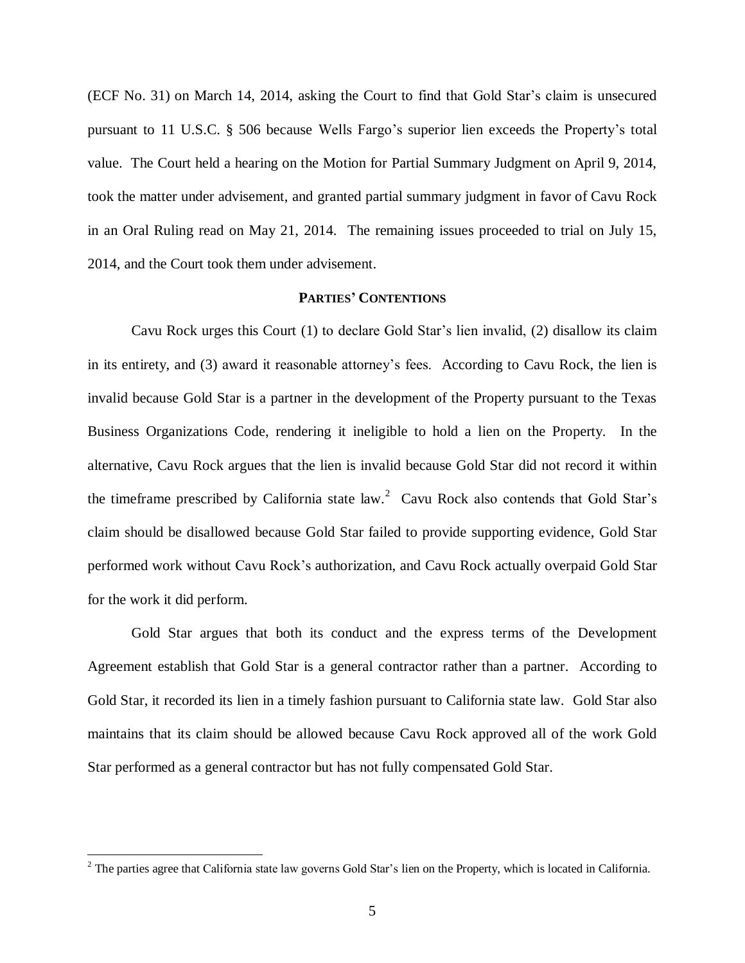(ECF No. 31) on March 14, 2014, asking the Court to find that Gold Star's claim is unsecured pursuant to 11 U.S.C. § 506 because Wells Fargo's superior lien exceeds the Property's total value. The Court held a hearing on the Motion for Partial Summary Judgment on April 9, 2014, took the matter under advisement, and granted partial summary judgment in favor of Cavu Rock in an Oral Ruling read on May 21, 2014. The remaining issues proceeded to trial on July 15, 2014, and the Court took them under advisement.

## **PARTIES' CONTENTIONS**

Cavu Rock urges this Court (1) to declare Gold Star's lien invalid, (2) disallow its claim in its entirety, and (3) award it reasonable attorney's fees. According to Cavu Rock, the lien is invalid because Gold Star is a partner in the development of the Property pursuant to the Texas Business Organizations Code, rendering it ineligible to hold a lien on the Property. In the alternative, Cavu Rock argues that the lien is invalid because Gold Star did not record it within the timeframe prescribed by California state law.<sup>2</sup> Cavu Rock also contends that Gold Star's claim should be disallowed because Gold Star failed to provide supporting evidence, Gold Star performed work without Cavu Rock's authorization, and Cavu Rock actually overpaid Gold Star for the work it did perform.

Gold Star argues that both its conduct and the express terms of the Development Agreement establish that Gold Star is a general contractor rather than a partner. According to Gold Star, it recorded its lien in a timely fashion pursuant to California state law. Gold Star also maintains that its claim should be allowed because Cavu Rock approved all of the work Gold Star performed as a general contractor but has not fully compensated Gold Star.

 $2^2$  The parties agree that California state law governs Gold Star's lien on the Property, which is located in California.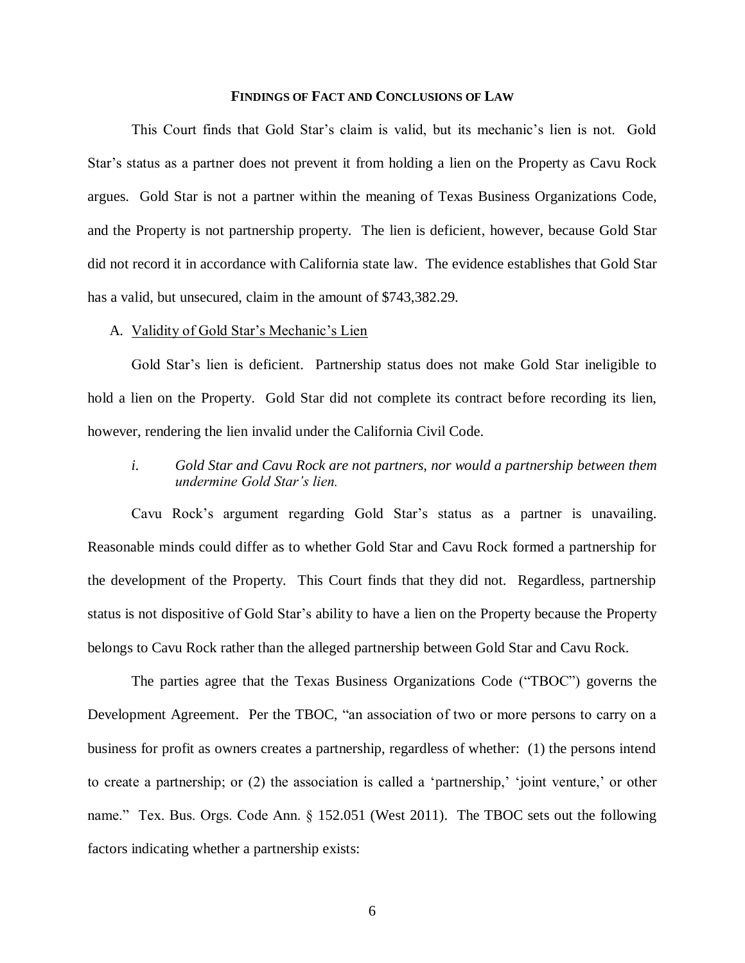#### **FINDINGS OF FACT AND CONCLUSIONS OF LAW**

This Court finds that Gold Star's claim is valid, but its mechanic's lien is not. Gold Star's status as a partner does not prevent it from holding a lien on the Property as Cavu Rock argues. Gold Star is not a partner within the meaning of Texas Business Organizations Code, and the Property is not partnership property. The lien is deficient, however, because Gold Star did not record it in accordance with California state law. The evidence establishes that Gold Star has a valid, but unsecured, claim in the amount of \$743,382.29.

#### A. Validity of Gold Star's Mechanic's Lien

Gold Star's lien is deficient. Partnership status does not make Gold Star ineligible to hold a lien on the Property. Gold Star did not complete its contract before recording its lien, however, rendering the lien invalid under the California Civil Code.

*i. Gold Star and Cavu Rock are not partners, nor would a partnership between them undermine Gold Star's lien.* 

Cavu Rock's argument regarding Gold Star's status as a partner is unavailing. Reasonable minds could differ as to whether Gold Star and Cavu Rock formed a partnership for the development of the Property. This Court finds that they did not. Regardless, partnership status is not dispositive of Gold Star's ability to have a lien on the Property because the Property belongs to Cavu Rock rather than the alleged partnership between Gold Star and Cavu Rock.

The parties agree that the Texas Business Organizations Code ("TBOC") governs the Development Agreement. Per the TBOC, "an association of two or more persons to carry on a business for profit as owners creates a partnership, regardless of whether: (1) the persons intend to create a partnership; or (2) the association is called a 'partnership,' 'joint venture,' or other name." Tex. Bus. Orgs. Code Ann. § 152.051 (West 2011). The TBOC sets out the following factors indicating whether a partnership exists: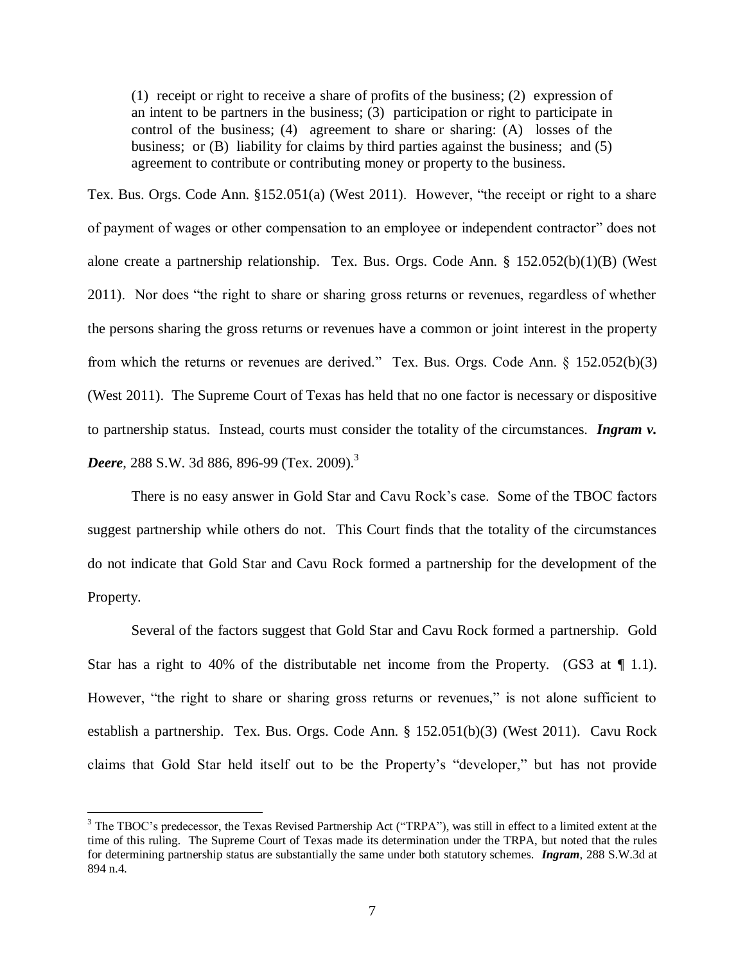(1) receipt or right to receive a share of profits of the business; (2) expression of an intent to be partners in the business; (3) participation or right to participate in control of the business; (4) agreement to share or sharing: (A) losses of the business; or (B) liability for claims by third parties against the business; and (5) agreement to contribute or contributing money or property to the business.

Tex. Bus. Orgs. Code Ann. §152.051(a) (West 2011). However, "the receipt or right to a share of payment of wages or other compensation to an employee or independent contractor" does not alone create a partnership relationship. Tex. Bus. Orgs. Code Ann. § 152.052(b)(1)(B) (West 2011). Nor does "the right to share or sharing gross returns or revenues, regardless of whether the persons sharing the gross returns or revenues have a common or joint interest in the property from which the returns or revenues are derived." Tex. Bus. Orgs. Code Ann. § 152.052(b)(3) (West 2011). The Supreme Court of Texas has held that no one factor is necessary or dispositive to partnership status. Instead, courts must consider the totality of the circumstances. *Ingram v. Deere*, 288 S.W. 3d 886, 896-99 (Tex. 2009).<sup>3</sup>

There is no easy answer in Gold Star and Cavu Rock's case. Some of the TBOC factors suggest partnership while others do not. This Court finds that the totality of the circumstances do not indicate that Gold Star and Cavu Rock formed a partnership for the development of the Property.

Several of the factors suggest that Gold Star and Cavu Rock formed a partnership. Gold Star has a right to 40% of the distributable net income from the Property. (GS3 at  $\P$  1.1). However, "the right to share or sharing gross returns or revenues," is not alone sufficient to establish a partnership. Tex. Bus. Orgs. Code Ann. § 152.051(b)(3) (West 2011). Cavu Rock claims that Gold Star held itself out to be the Property's "developer," but has not provide

<sup>&</sup>lt;sup>3</sup> The TBOC's predecessor, the Texas Revised Partnership Act ("TRPA"), was still in effect to a limited extent at the time of this ruling. The Supreme Court of Texas made its determination under the TRPA, but noted that the rules for determining partnership status are substantially the same under both statutory schemes. *Ingram*, 288 S.W.3d at 894 n.4.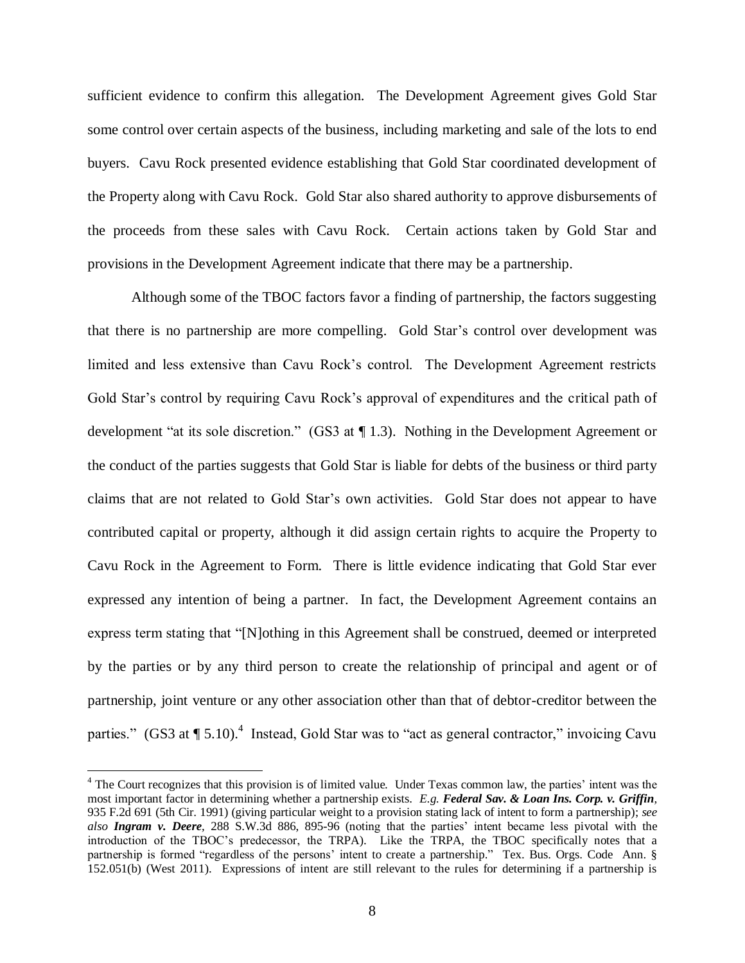sufficient evidence to confirm this allegation. The Development Agreement gives Gold Star some control over certain aspects of the business, including marketing and sale of the lots to end buyers. Cavu Rock presented evidence establishing that Gold Star coordinated development of the Property along with Cavu Rock. Gold Star also shared authority to approve disbursements of the proceeds from these sales with Cavu Rock. Certain actions taken by Gold Star and provisions in the Development Agreement indicate that there may be a partnership.

Although some of the TBOC factors favor a finding of partnership, the factors suggesting that there is no partnership are more compelling. Gold Star's control over development was limited and less extensive than Cavu Rock's control. The Development Agreement restricts Gold Star's control by requiring Cavu Rock's approval of expenditures and the critical path of development "at its sole discretion." (GS3 at ¶ 1.3). Nothing in the Development Agreement or the conduct of the parties suggests that Gold Star is liable for debts of the business or third party claims that are not related to Gold Star's own activities. Gold Star does not appear to have contributed capital or property, although it did assign certain rights to acquire the Property to Cavu Rock in the Agreement to Form. There is little evidence indicating that Gold Star ever expressed any intention of being a partner. In fact, the Development Agreement contains an express term stating that "[N]othing in this Agreement shall be construed, deemed or interpreted by the parties or by any third person to create the relationship of principal and agent or of partnership, joint venture or any other association other than that of debtor-creditor between the parties." (GS3 at  $\P 5.10$ ).<sup>4</sup> Instead, Gold Star was to "act as general contractor," invoicing Cavu

<sup>&</sup>lt;sup>4</sup> The Court recognizes that this provision is of limited value. Under Texas common law, the parties' intent was the most important factor in determining whether a partnership exists. *E.g. Federal Sav. & Loan Ins. Corp. v. Griffin,*  935 F.2d 691 (5th Cir. 1991) (giving particular weight to a provision stating lack of intent to form a partnership); *see also Ingram v. Deere,* 288 S.W.3d 886, 895-96 (noting that the parties' intent became less pivotal with the introduction of the TBOC's predecessor, the TRPA). Like the TRPA, the TBOC specifically notes that a partnership is formed "regardless of the persons' intent to create a partnership." Tex. Bus. Orgs. Code Ann. § 152.051(b) (West 2011). Expressions of intent are still relevant to the rules for determining if a partnership is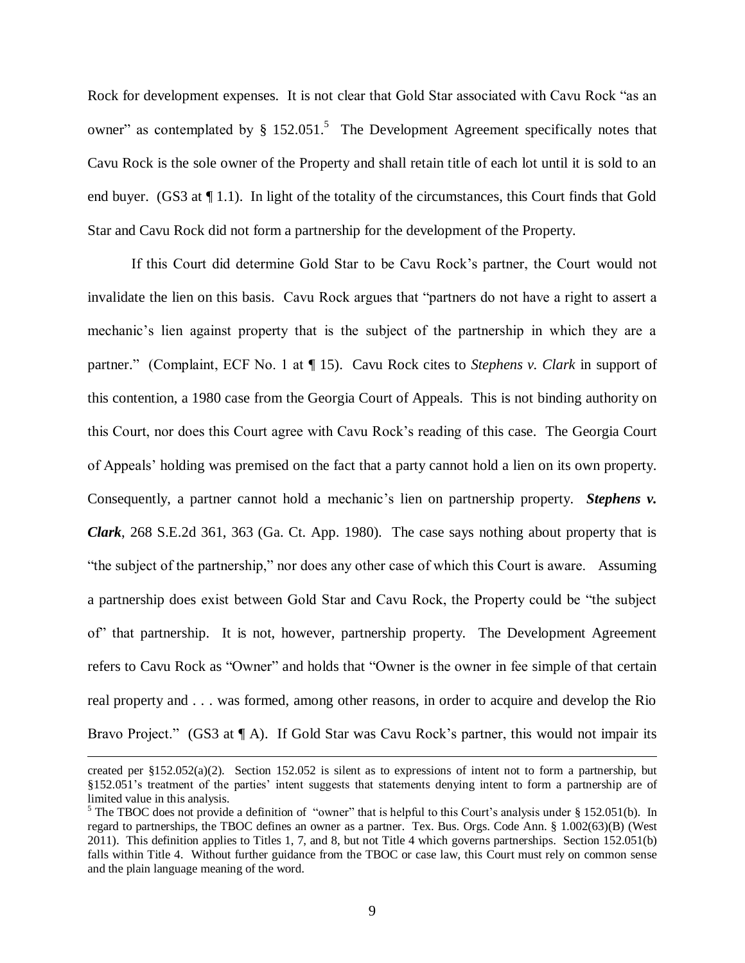Rock for development expenses. It is not clear that Gold Star associated with Cavu Rock "as an owner" as contemplated by  $\S$  152.051.<sup>5</sup> The Development Agreement specifically notes that Cavu Rock is the sole owner of the Property and shall retain title of each lot until it is sold to an end buyer. (GS3 at ¶ 1.1). In light of the totality of the circumstances, this Court finds that Gold Star and Cavu Rock did not form a partnership for the development of the Property.

If this Court did determine Gold Star to be Cavu Rock's partner, the Court would not invalidate the lien on this basis. Cavu Rock argues that "partners do not have a right to assert a mechanic's lien against property that is the subject of the partnership in which they are a partner." (Complaint, ECF No. 1 at ¶ 15). Cavu Rock cites to *Stephens v. Clark* in support of this contention, a 1980 case from the Georgia Court of Appeals. This is not binding authority on this Court, nor does this Court agree with Cavu Rock's reading of this case. The Georgia Court of Appeals' holding was premised on the fact that a party cannot hold a lien on its own property. Consequently, a partner cannot hold a mechanic's lien on partnership property. *Stephens v. Clark*, 268 S.E.2d 361, 363 (Ga. Ct. App. 1980). The case says nothing about property that is "the subject of the partnership," nor does any other case of which this Court is aware. Assuming a partnership does exist between Gold Star and Cavu Rock, the Property could be "the subject of" that partnership. It is not, however, partnership property. The Development Agreement refers to Cavu Rock as "Owner" and holds that "Owner is the owner in fee simple of that certain real property and . . . was formed, among other reasons, in order to acquire and develop the Rio Bravo Project." (GS3 at  $\P$  A). If Gold Star was Cavu Rock's partner, this would not impair its

created per §152.052(a)(2). Section 152.052 is silent as to expressions of intent not to form a partnership, but §152.051's treatment of the parties' intent suggests that statements denying intent to form a partnership are of limited value in this analysis.

<sup>&</sup>lt;sup>5</sup> The TBOC does not provide a definition of "owner" that is helpful to this Court's analysis under § 152.051(b). In regard to partnerships, the TBOC defines an owner as a partner. Tex. Bus. Orgs. Code Ann. § 1.002(63)(B) (West 2011). This definition applies to Titles 1, 7, and 8, but not Title 4 which governs partnerships. Section 152.051(b) falls within Title 4. Without further guidance from the TBOC or case law, this Court must rely on common sense and the plain language meaning of the word.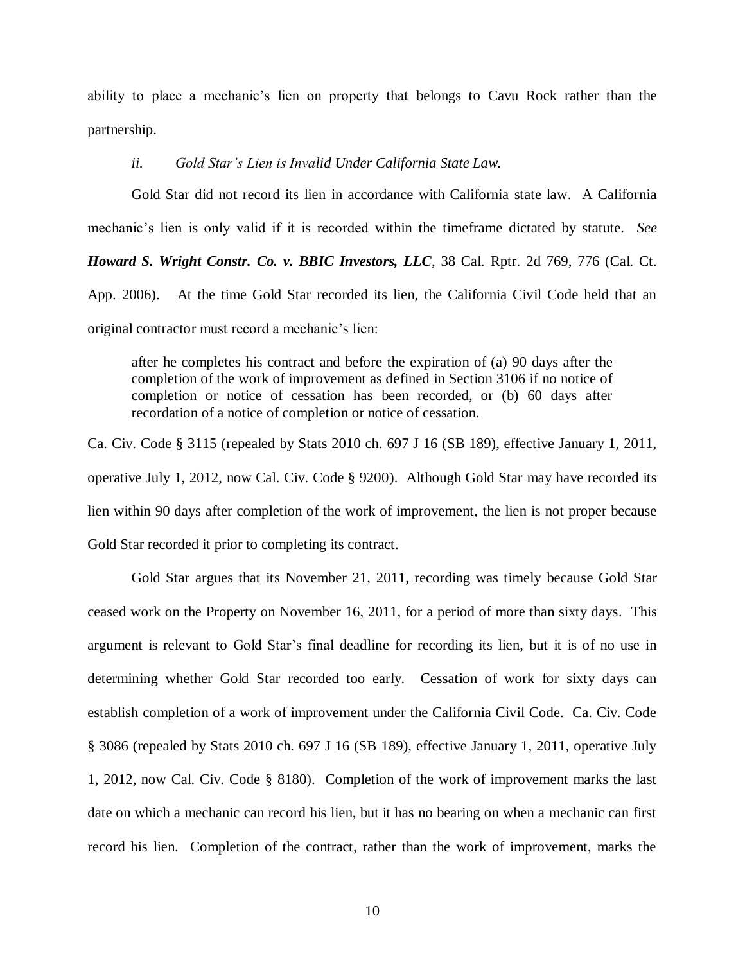ability to place a mechanic's lien on property that belongs to Cavu Rock rather than the partnership.

### *ii. Gold Star's Lien is Invalid Under California State Law.*

Gold Star did not record its lien in accordance with California state law. A California mechanic's lien is only valid if it is recorded within the timeframe dictated by statute. *See* 

*Howard S. Wright Constr. Co. v. BBIC Investors, LLC*, 38 Cal. Rptr. 2d 769, 776 (Cal. Ct.

App. 2006). At the time Gold Star recorded its lien, the California Civil Code held that an original contractor must record a mechanic's lien:

after he completes his contract and before the expiration of (a) 90 days after the completion of the work of improvement as defined in Section 3106 if no notice of completion or notice of cessation has been recorded, or (b) 60 days after recordation of a notice of completion or notice of cessation.

Ca. Civ. Code § 3115 (repealed by Stats 2010 ch. 697 J 16 (SB 189), effective January 1, 2011, operative July 1, 2012, now Cal. Civ. Code § 9200). Although Gold Star may have recorded its lien within 90 days after completion of the work of improvement, the lien is not proper because Gold Star recorded it prior to completing its contract.

Gold Star argues that its November 21, 2011, recording was timely because Gold Star ceased work on the Property on November 16, 2011, for a period of more than sixty days. This argument is relevant to Gold Star's final deadline for recording its lien, but it is of no use in determining whether Gold Star recorded too early. Cessation of work for sixty days can establish completion of a work of improvement under the California Civil Code. Ca. Civ. Code § 3086 (repealed by Stats 2010 ch. 697 J 16 (SB 189), effective January 1, 2011, operative July 1, 2012, now Cal. Civ. Code § 8180). Completion of the work of improvement marks the last date on which a mechanic can record his lien, but it has no bearing on when a mechanic can first record his lien. Completion of the contract, rather than the work of improvement, marks the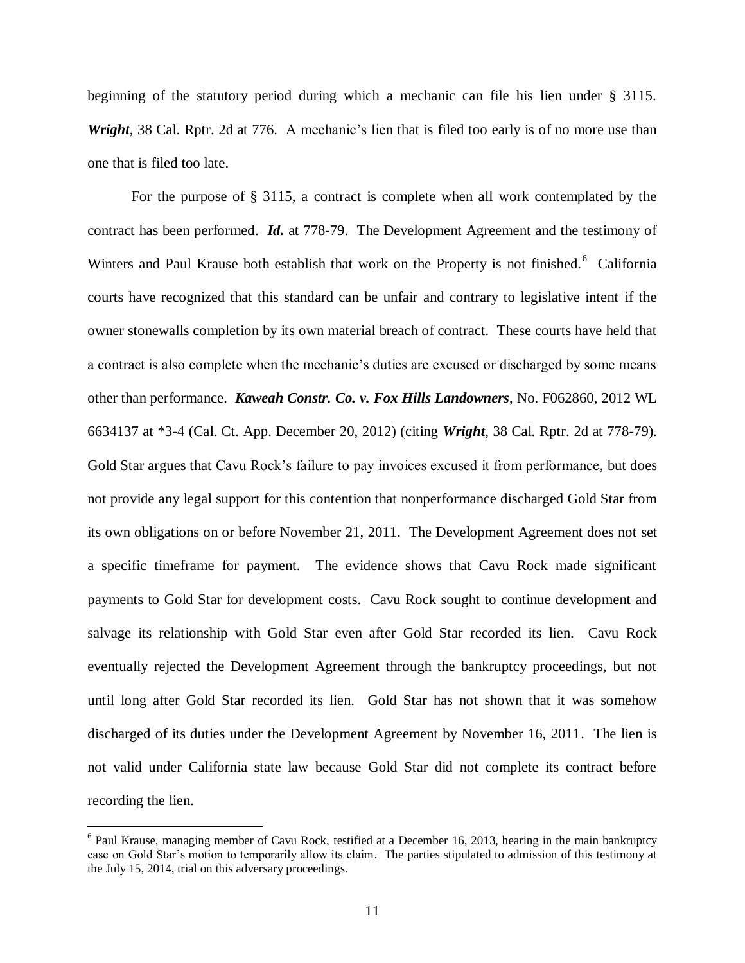beginning of the statutory period during which a mechanic can file his lien under § 3115. *Wright*, 38 Cal. Rptr. 2d at 776. A mechanic's lien that is filed too early is of no more use than one that is filed too late.

For the purpose of § 3115, a contract is complete when all work contemplated by the contract has been performed. *Id.* at 778-79. The Development Agreement and the testimony of Winters and Paul Krause both establish that work on the Property is not finished.<sup>6</sup> California courts have recognized that this standard can be unfair and contrary to legislative intent if the owner stonewalls completion by its own material breach of contract. These courts have held that a contract is also complete when the mechanic's duties are excused or discharged by some means other than performance. *Kaweah Constr. Co. v. Fox Hills Landowners*, No. F062860, 2012 WL 6634137 at \*3-4 (Cal. Ct. App. December 20, 2012) (citing *Wright*, 38 Cal. Rptr. 2d at 778-79). Gold Star argues that Cavu Rock's failure to pay invoices excused it from performance, but does not provide any legal support for this contention that nonperformance discharged Gold Star from its own obligations on or before November 21, 2011. The Development Agreement does not set a specific timeframe for payment. The evidence shows that Cavu Rock made significant payments to Gold Star for development costs. Cavu Rock sought to continue development and salvage its relationship with Gold Star even after Gold Star recorded its lien. Cavu Rock eventually rejected the Development Agreement through the bankruptcy proceedings, but not until long after Gold Star recorded its lien. Gold Star has not shown that it was somehow discharged of its duties under the Development Agreement by November 16, 2011. The lien is not valid under California state law because Gold Star did not complete its contract before recording the lien.

<sup>&</sup>lt;sup>6</sup> Paul Krause, managing member of Cavu Rock, testified at a December 16, 2013, hearing in the main bankruptcy case on Gold Star's motion to temporarily allow its claim. The parties stipulated to admission of this testimony at the July 15, 2014, trial on this adversary proceedings.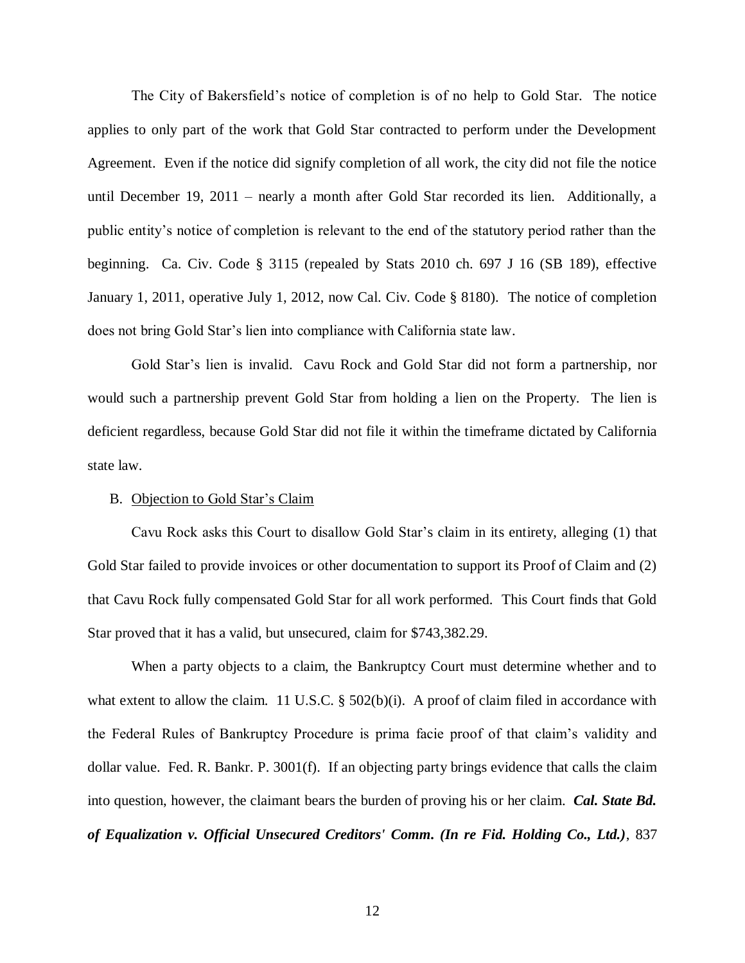The City of Bakersfield's notice of completion is of no help to Gold Star. The notice applies to only part of the work that Gold Star contracted to perform under the Development Agreement. Even if the notice did signify completion of all work, the city did not file the notice until December 19, 2011 – nearly a month after Gold Star recorded its lien. Additionally, a public entity's notice of completion is relevant to the end of the statutory period rather than the beginning. Ca. Civ. Code § 3115 (repealed by Stats 2010 ch. 697 J 16 (SB 189), effective January 1, 2011, operative July 1, 2012, now Cal. Civ. Code § 8180). The notice of completion does not bring Gold Star's lien into compliance with California state law.

Gold Star's lien is invalid. Cavu Rock and Gold Star did not form a partnership, nor would such a partnership prevent Gold Star from holding a lien on the Property. The lien is deficient regardless, because Gold Star did not file it within the timeframe dictated by California state law.

### B. Objection to Gold Star's Claim

Cavu Rock asks this Court to disallow Gold Star's claim in its entirety, alleging (1) that Gold Star failed to provide invoices or other documentation to support its Proof of Claim and (2) that Cavu Rock fully compensated Gold Star for all work performed. This Court finds that Gold Star proved that it has a valid, but unsecured, claim for \$743,382.29.

When a party objects to a claim, the Bankruptcy Court must determine whether and to what extent to allow the claim. 11 U.S.C.  $\S$  502(b)(i). A proof of claim filed in accordance with the Federal Rules of Bankruptcy Procedure is prima facie proof of that claim's validity and dollar value. Fed. R. Bankr. P. 3001(f). If an objecting party brings evidence that calls the claim into question, however, the claimant bears the burden of proving his or her claim. *Cal. State Bd. of Equalization v. Official Unsecured Creditors' Comm. (In re Fid. Holding Co., Ltd.)*, 837

12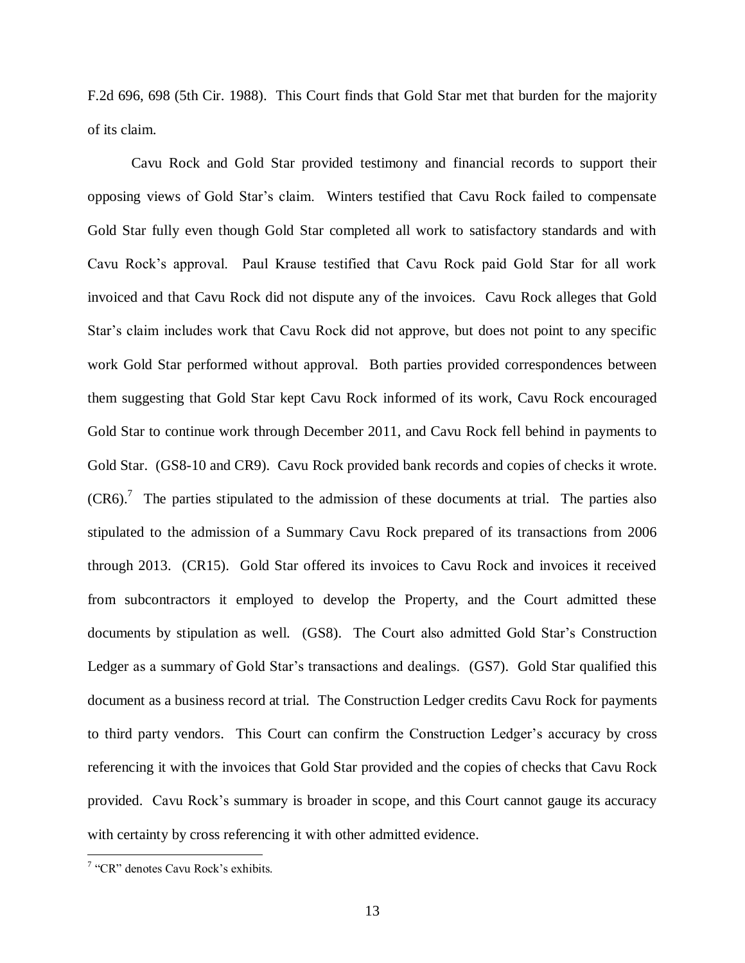F.2d 696, 698 (5th Cir. 1988). This Court finds that Gold Star met that burden for the majority of its claim.

Cavu Rock and Gold Star provided testimony and financial records to support their opposing views of Gold Star's claim. Winters testified that Cavu Rock failed to compensate Gold Star fully even though Gold Star completed all work to satisfactory standards and with Cavu Rock's approval. Paul Krause testified that Cavu Rock paid Gold Star for all work invoiced and that Cavu Rock did not dispute any of the invoices. Cavu Rock alleges that Gold Star's claim includes work that Cavu Rock did not approve, but does not point to any specific work Gold Star performed without approval. Both parties provided correspondences between them suggesting that Gold Star kept Cavu Rock informed of its work, Cavu Rock encouraged Gold Star to continue work through December 2011, and Cavu Rock fell behind in payments to Gold Star. (GS8-10 and CR9). Cavu Rock provided bank records and copies of checks it wrote.  $(CR6).$ <sup>7</sup> The parties stipulated to the admission of these documents at trial. The parties also stipulated to the admission of a Summary Cavu Rock prepared of its transactions from 2006 through 2013. (CR15). Gold Star offered its invoices to Cavu Rock and invoices it received from subcontractors it employed to develop the Property, and the Court admitted these documents by stipulation as well. (GS8). The Court also admitted Gold Star's Construction Ledger as a summary of Gold Star's transactions and dealings. (GS7). Gold Star qualified this document as a business record at trial. The Construction Ledger credits Cavu Rock for payments to third party vendors. This Court can confirm the Construction Ledger's accuracy by cross referencing it with the invoices that Gold Star provided and the copies of checks that Cavu Rock provided. Cavu Rock's summary is broader in scope, and this Court cannot gauge its accuracy with certainty by cross referencing it with other admitted evidence.

<sup>&</sup>lt;sup>7</sup> "CR" denotes Cavu Rock's exhibits.